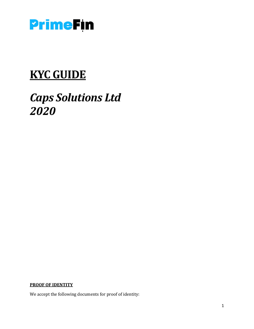

# **KYC GUIDE**

# *Caps Solutions Ltd 2020*

**PROOF OF IDENTITY**

We accept the following documents for proof of identity: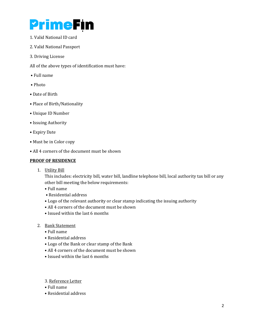# **PrimeFin**

- 1. Valid National ID card
- 2. Valid National Passport
- 3. Driving License

All of the above types of identification must have:

- Full name
- Photo
- Date of Birth
- Place of Birth/Nationality
- Unique ID Number
- Issuing Authority
- Expiry Date
- Must be in Color copy
- All 4 corners of the document must be shown

## **PROOF OF RESIDENCE**

1. Utility Bill

This includes: electricity bill, water bill, landline telephone bill, local authority tax bill or any other bill meeting the below requirements:

- Full name
- Residential address
- Logo of the relevant authority or clear stamp indicating the issuing authority
- All 4 corners of the document must be shown
- Issued within the last 6 months

### 2. Bank Statement

- Full name
- Residential address
- Logo of the Bank or clear stamp of the Bank
- All 4 corners of the document must be shown
- Issued within the last 6 months
- 3. Reference Letter
- Full name
- Residential address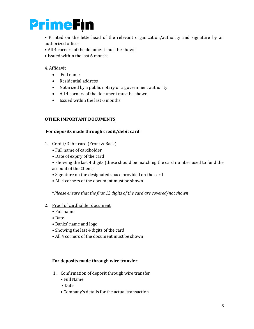

• Printed on the letterhead of the relevant organization/authority and signature by an authorized officer

- All 4 corners of the document must be shown
- Issued within the last 6 months

#### 4. Affidavit

- Full name
- Residential address
- Notarized by a public notary or a government authority
- All 4 corners of the document must be shown
- Issued within the last 6 months

#### **OTHER IMPORTANT DOCUMENTS**

#### **For deposits made through credit/debit card:**

- 1. Credit/Debit card (Front & Back)
	- Full name of cardholder
	- Date of expiry of the card
	- Showing the last 4 digits (these should be matching the card number used to fund the account of the Client)
	- Signature on the designated space provided on the card
	- All 4 corners of the document must be shown

\**Please ensure that the first 12 digits of the card are covered/not shown*

- 2. Proof of cardholder document
	- Full name
	- Date
	- Banks' name and logo
	- Showing the last 4 digits of the card
	- All 4 corners of the document must be shown

#### **For deposits made through wire transfer:**

- 1. Confirmation of deposit through wire transfer
	- Full Name
	- Date
	- Company's details for the actual transaction